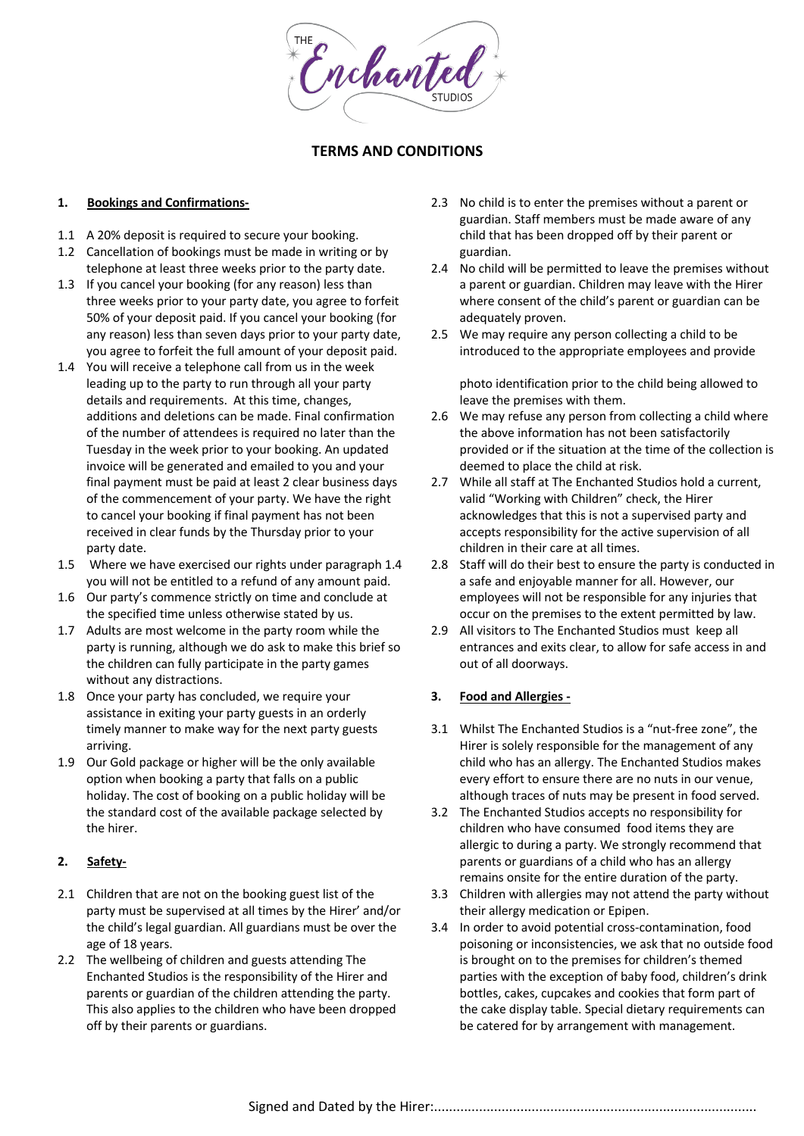Enchanted

## **TERMS AND CONDITIONS**

#### **1. Bookings and Confirmations-**

- 1.1 A 20% deposit is required to secure your booking.
- 1.2 Cancellation of bookings must be made in writing or by telephone at least three weeks prior to the party date.
- 1.3 If you cancel your booking (for any reason) less than three weeks prior to your party date, you agree to forfeit 50% of your deposit paid. If you cancel your booking (for any reason) less than seven days prior to your party date, you agree to forfeit the full amount of your deposit paid.
- 1.4 You will receive a telephone call from us in the week leading up to the party to run through all your party details and requirements. At this time, changes, additions and deletions can be made. Final confirmation of the number of attendees is required no later than the Tuesday in the week prior to your booking. An updated invoice will be generated and emailed to you and your final payment must be paid at least 2 clear business days of the commencement of your party. We have the right to cancel your booking if final payment has not been received in clear funds by the Thursday prior to your party date.
- 1.5 Where we have exercised our rights under paragraph 1.4 you will not be entitled to a refund of any amount paid.
- 1.6 Our party's commence strictly on time and conclude at the specified time unless otherwise stated by us.
- 1.7 Adults are most welcome in the party room while the party is running, although we do ask to make this brief so the children can fully participate in the party games without any distractions.
- 1.8 Once your party has concluded, we require your assistance in exiting your party guests in an orderly timely manner to make way for the next party guests arriving.
- 1.9 Our Gold package or higher will be the only available option when booking a party that falls on a public holiday. The cost of booking on a public holiday will be the standard cost of the available package selected by the hirer.

# **2. Safety-**

- 2.1 Children that are not on the booking guest list of the party must be supervised at all times by the Hirer' and/or the child's legal guardian. All guardians must be over the age of 18 years.
- 2.2 The wellbeing of children and guests attending The Enchanted Studios is the responsibility of the Hirer and parents or guardian of the children attending the party. This also applies to the children who have been dropped off by their parents or guardians.
- 2.3 No child is to enter the premises without a parent or guardian. Staff members must be made aware of any child that has been dropped off by their parent or guardian.
- 2.4 No child will be permitted to leave the premises without a parent or guardian. Children may leave with the Hirer where consent of the child's parent or guardian can be adequately proven.
- 2.5 We may require any person collecting a child to be introduced to the appropriate employees and provide

photo identification prior to the child being allowed to leave the premises with them.

- 2.6 We may refuse any person from collecting a child where the above information has not been satisfactorily provided or if the situation at the time of the collection is deemed to place the child at risk.
- 2.7 While all staff at The Enchanted Studios hold a current, valid "Working with Children" check, the Hirer acknowledges that this is not a supervised party and accepts responsibility for the active supervision of all children in their care at all times.
- 2.8 Staff will do their best to ensure the party is conducted in a safe and enjoyable manner for all. However, our employees will not be responsible for any injuries that occur on the premises to the extent permitted by law.
- 2.9 All visitors to The Enchanted Studios must keep all entrances and exits clear, to allow for safe access in and out of all doorways.

## **3. Food and Allergies -**

- 3.1 Whilst The Enchanted Studios is a "nut-free zone", the Hirer is solely responsible for the management of any child who has an allergy. The Enchanted Studios makes every effort to ensure there are no nuts in our venue, although traces of nuts may be present in food served.
- 3.2 The Enchanted Studios accepts no responsibility for children who have consumed food items they are allergic to during a party. We strongly recommend that parents or guardians of a child who has an allergy remains onsite for the entire duration of the party.
- 3.3 Children with allergies may not attend the party without their allergy medication or Epipen.
- 3.4 In order to avoid potential cross-contamination, food poisoning or inconsistencies, we ask that no outside food is brought on to the premises for children's themed parties with the exception of baby food, children's drink bottles, cakes, cupcakes and cookies that form part of the cake display table. Special dietary requirements can be catered for by arrangement with management.